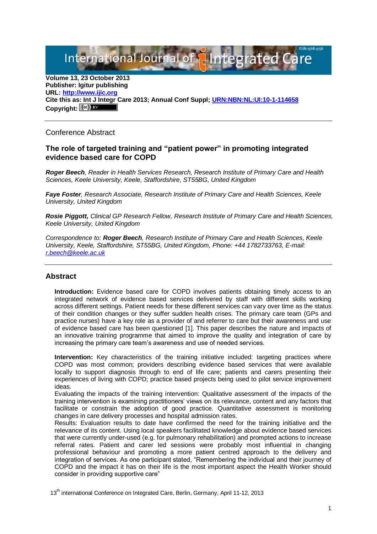International Journal of **Pilntegrated** C

**Volume 13, 23 October 2013 Publisher: Igitur publishing URL[: http://www.ijic.org](http://www.ijic.org/) Cite this as: Int J Integr Care 2013; Annual Conf Suppl; [URN:NBN:NL:UI:10-1-114658](http://persistent-identifier.nl/?identifier=URN:NBN:NL:UI:10-1-114658)** Copyright:  $(cc)$  **E**Y

Conference Abstract

## **The role of targeted training and "patient power" in promoting integrated evidence based care for COPD**

*Roger Beech, Reader in Health Services Research, Research Institute of Primary Care and Health Sciences, Keele University, Keele, Staffordshire, ST55BG, United Kingdom*

*Faye Foster, Research Associate, Research Institute of Primary Care and Health Sciences, Keele University, United Kingdom*

*Rosie Piggott, Clinical GP Research Fellow, Research Institute of Primary Care and Health Sciences, Keele University, United Kingdom*

*Correspondence to: Roger Beech, Research Institute of Primary Care and Health Sciences, Keele University, Keele, Staffordshire, ST55BG, United Kingdom, Phone: +44 1782733763, E-mail: [r.beech@keele.ac.uk](mailto:r.beech@keele.ac.uk)*

## **Abstract**

**Introduction:** Evidence based care for COPD involves patients obtaining timely access to an integrated network of evidence based services delivered by staff with different skills working across different settings. Patient needs for these different services can vary over time as the status of their condition changes or they suffer sudden health crises. The primary care team (GPs and practice nurses) have a key role as a provider of and referrer to care but their awareness and use of evidence based care has been questioned [1]. This paper describes the nature and impacts of an innovative training programme that aimed to improve the quality and integration of care by increasing the primary care team's awareness and use of needed services.

**Intervention:** Key characteristics of the training initiative included: targeting practices where COPD was most common; providers describing evidence based services that were available locally to support diagnosis through to end of life care; patients and carers presenting their experiences of living with COPD; practice based projects being used to pilot service improvement ideas.

Evaluating the impacts of the training intervention: Qualitative assessment of the impacts of the training intervention is examining practitioners' views on its relevance, content and any factors that facilitate or constrain the adoption of good practice. Quantitative assessment is monitoring changes in care delivery processes and hospital admission rates.

Results: Evaluation results to date have confirmed the need for the training initiative and the relevance of its content. Using local speakers facilitated knowledge about evidence based services that were currently under-used (e.g. for pulmonary rehabilitation) and prompted actions to increase referral rates. Patient and carer led sessions were probably most influential in changing professional behaviour and promoting a more patient centred approach to the delivery and integration of services. As one participant stated, "Remembering the individual and their journey of COPD and the impact it has on their life is the most important aspect the Health Worker should consider in providing supportive care"

13<sup>th</sup> international Conference on Integrated Care, Berlin, Germany, April 11-12, 2013